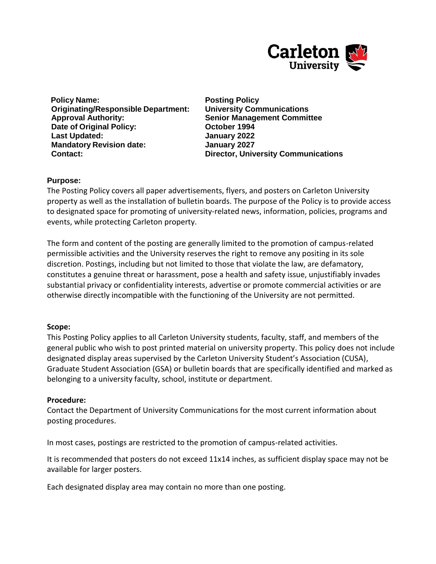

**Policy Name: Posting Policy Originating/Responsible Department: University Communications Approval Authority: Senior Management Committee Date of Original Policy: CES CORPORT 1994 Last Updated: January 2022 Mandatory Revision date: January 2027 Contact: Director, University Communications**

# **Purpose:**

The Posting Policy covers all paper advertisements, flyers, and posters on Carleton University property as well as the installation of bulletin boards. The purpose of the Policy is to provide access to designated space for promoting of university-related news, information, policies, programs and events, while protecting Carleton property.

The form and content of the posting are generally limited to the promotion of campus-related permissible activities and the University reserves the right to remove any positing in its sole discretion. Postings, including but not limited to those that violate the law, are defamatory, constitutes a genuine threat or harassment, pose a health and safety issue, unjustifiably invades substantial privacy or confidentiality interests, advertise or promote commercial activities or are otherwise directly incompatible with the functioning of the University are not permitted.

### **Scope:**

This Posting Policy applies to all Carleton University students, faculty, staff, and members of the general public who wish to post printed material on university property. This policy does not include designated display areas supervised by the Carleton University Student's Association (CUSA), Graduate Student Association (GSA) or bulletin boards that are specifically identified and marked as belonging to a university faculty, school, institute or department.

### **Procedure:**

Contact the Department of University Communications for the most current information about posting procedures.

In most cases, postings are restricted to the promotion of campus-related activities.

It is recommended that posters do not exceed 11x14 inches, as sufficient display space may not be available for larger posters.

Each designated display area may contain no more than one posting.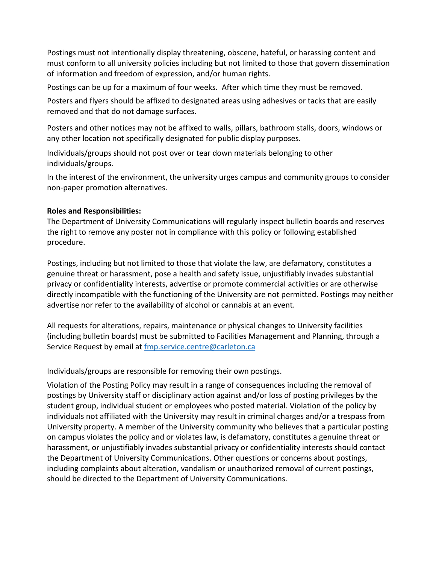Postings must not intentionally display threatening, obscene, hateful, or harassing content and must conform to all university policies including but not limited to those that govern dissemination of information and freedom of expression, and/or human rights.

Postings can be up for a maximum of four weeks. After which time they must be removed.

Posters and flyers should be affixed to designated areas using adhesives or tacks that are easily removed and that do not damage surfaces.

Posters and other notices may not be affixed to walls, pillars, bathroom stalls, doors, windows or any other location not specifically designated for public display purposes.

Individuals/groups should not post over or tear down materials belonging to other individuals/groups.

In the interest of the environment, the university urges campus and community groups to consider non-paper promotion alternatives.

# **Roles and Responsibilities:**

The Department of University Communications will regularly inspect bulletin boards and reserves the right to remove any poster not in compliance with this policy or following established procedure.

Postings, including but not limited to those that violate the law, are defamatory, constitutes a genuine threat or harassment, pose a health and safety issue, unjustifiably invades substantial privacy or confidentiality interests, advertise or promote commercial activities or are otherwise directly incompatible with the functioning of the University are not permitted. Postings may neither advertise nor refer to the availability of alcohol or cannabis at an event.

All requests for alterations, repairs, maintenance or physical changes to University facilities (including bulletin boards) must be submitted to Facilities Management and Planning, through a Service Request by email at [fmp.service.centre@carleton.ca](mailto:fmp.service.centre@carleton.ca)

Individuals/groups are responsible for removing their own postings.

Violation of the Posting Policy may result in a range of consequences including the removal of postings by University staff or disciplinary action against and/or loss of posting privileges by the student group, individual student or employees who posted material. Violation of the policy by individuals not affiliated with the University may result in criminal charges and/or a trespass from University property. A member of the University community who believes that a particular posting on campus violates the policy and or violates law, is defamatory, constitutes a genuine threat or harassment, or unjustifiably invades substantial privacy or confidentiality interests should contact the Department of University Communications. Other questions or concerns about postings, including complaints about alteration, vandalism or unauthorized removal of current postings, should be directed to the Department of University Communications.